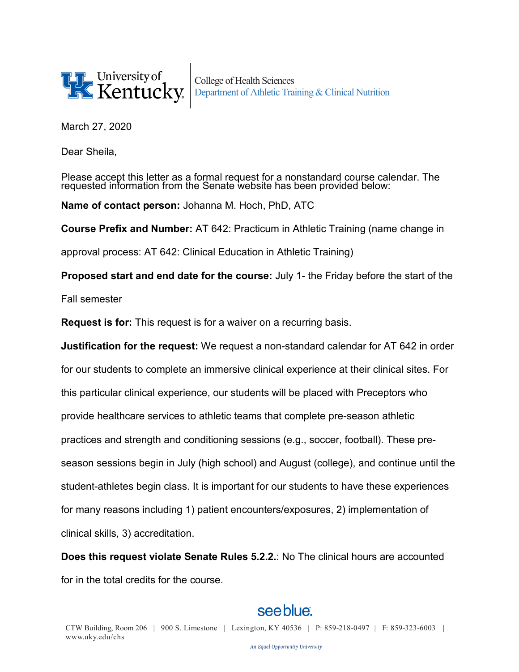

College of Health Sciences Department of Athletic Training & Clinical Nutrition

March 27, 2020

Dear Sheila,

Please accept this letter as a formal request for a nonstandard course calendar. The requested information from the Senate website has been provided below:

**Name of contact person:** Johanna M. Hoch, PhD, ATC

**Course Prefix and Number:** AT 642: Practicum in Athletic Training (name change in

approval process: AT 642: Clinical Education in Athletic Training)

**Proposed start and end date for the course:** July 1- the Friday before the start of the

Fall semester

**Request is for:** This request is for a waiver on a recurring basis.

**Justification for the request:** We request a non-standard calendar for AT 642 in order

for our students to complete an immersive clinical experience at their clinical sites. For

this particular clinical experience, our students will be placed with Preceptors who

provide healthcare services to athletic teams that complete pre-season athletic

practices and strength and conditioning sessions (e.g., soccer, football). These pre-

season sessions begin in July (high school) and August (college), and continue until the

student-athletes begin class. It is important for our students to have these experiences

for many reasons including 1) patient encounters/exposures, 2) implementation of

clinical skills, 3) accreditation.

**Does this request violate Senate Rules 5.2.2.**: No The clinical hours are accounted for in the total credits for the course.

## see blue.